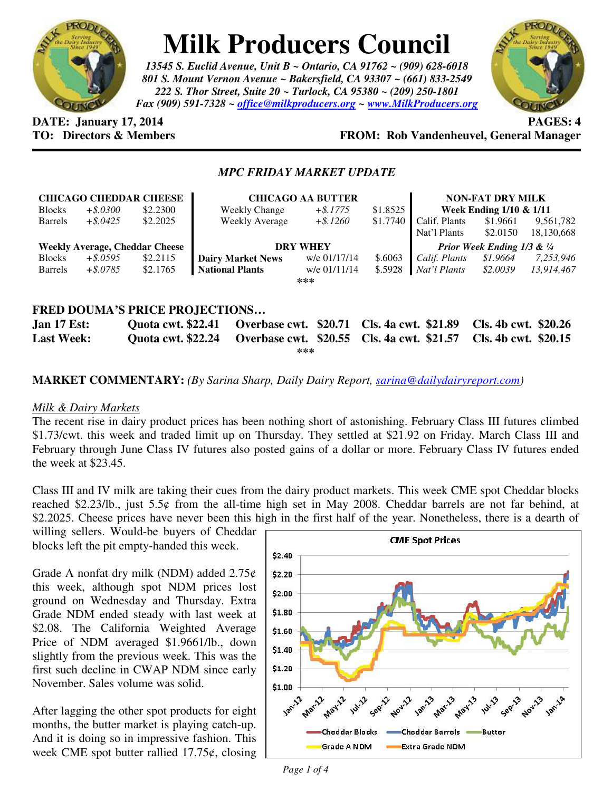

# **Milk Producers Council**

*13545 S. Euclid Avenue, Unit B ~ Ontario, CA 91762 ~ (909) 628-6018 801 S. Mount Vernon Avenue ~ Bakersfield, CA 93307 ~ (661) 833-2549 222 S. Thor Street, Suite 20 ~ Turlock, CA 95380 ~ (209) 250-1801 Fax (909) 591-7328 ~ office@milkproducers.org ~ www.MilkProducers.org*



**DATE:** January 17, 2014 **PAGES:** 4

# **TO: Directors & Members FROM: Rob Vandenheuvel, General Manager**

# *MPC FRIDAY MARKET UPDATE*

|                                                                                                              |             | <b>CHICAGO CHEDDAR CHEESE</b> | <b>CHICAGO AA BUTTER</b> |              |          | <b>NON-FAT DRY MILK</b>                |          |            |
|--------------------------------------------------------------------------------------------------------------|-------------|-------------------------------|--------------------------|--------------|----------|----------------------------------------|----------|------------|
| <b>Blocks</b>                                                                                                | $+$ \$.0300 | \$2.2300                      | <b>Weekly Change</b>     | $+$ \$.1775  | \$1.8525 | Week Ending 1/10 & 1/11                |          |            |
| <b>Barrels</b>                                                                                               | $+$ \$.0425 | \$2,2025                      | Weekly Average           | $+$ \$.1260  | \$1.7740 | Calif. Plants                          | \$1.9661 | 9,561,782  |
|                                                                                                              |             |                               |                          |              |          | Nat'l Plants                           | \$2.0150 | 18,130,668 |
| <b>Weekly Average, Cheddar Cheese</b>                                                                        |             |                               | <b>DRY WHEY</b>          |              |          | <b>Prior Week Ending 1/3 &amp; 1/4</b> |          |            |
| <b>Blocks</b>                                                                                                | $+$ \$.0595 | \$2.2115                      | <b>Dairy Market News</b> | w/e 01/17/14 | \$.6063  | Calif. Plants                          | \$1.9664 | 7,253,946  |
| <b>Barrels</b>                                                                                               | $+$ \$.0785 | \$2.1765                      | <b>National Plants</b>   | w/e 01/11/14 | \$.5928  | Nat'l Plants                           | \$2.0039 | 13.914.467 |
| ***                                                                                                          |             |                               |                          |              |          |                                        |          |            |
|                                                                                                              |             |                               |                          |              |          |                                        |          |            |
| <b>FRED DOUMA'S PRICE PROJECTIONS</b>                                                                        |             |                               |                          |              |          |                                        |          |            |
| \$20.71<br>$Q$ uota cwt \$22.41<br><b>Overhose cwt</b><br>$\Gamma$ ah cwt $\Omega$ $\Omega$<br>Ion $17$ Fet. |             |                               |                          |              |          |                                        |          |            |

**Jan 17 Est: Quota cwt. \$22.41 Overbase cwt. \$20.71 Cls. 4a cwt. \$21.89 Cls. 4b cwt. \$20.26 Last Week: Quota cwt. \$22.24 Overbase cwt. \$20.55 Cls. 4a cwt. \$21.57 Cls. 4b cwt. \$20.15 \*\*\*** 

**MARKET COMMENTARY:** *(By Sarina Sharp, Daily Dairy Report, sarina@dailydairyreport.com)* 

#### *Milk & Dairy Markets*

The recent rise in dairy product prices has been nothing short of astonishing. February Class III futures climbed \$1.73/cwt. this week and traded limit up on Thursday. They settled at \$21.92 on Friday. March Class III and February through June Class IV futures also posted gains of a dollar or more. February Class IV futures ended the week at \$23.45.

Class III and IV milk are taking their cues from the dairy product markets. This week CME spot Cheddar blocks reached \$2.23/lb., just 5.5¢ from the all-time high set in May 2008. Cheddar barrels are not far behind, at \$2.2025. Cheese prices have never been this high in the first half of the year. Nonetheless, there is a dearth of

willing sellers. Would-be buyers of Cheddar blocks left the pit empty-handed this week.

Grade A nonfat dry milk (NDM) added  $2.75¢$ this week, although spot NDM prices lost ground on Wednesday and Thursday. Extra Grade NDM ended steady with last week at \$2.08. The California Weighted Average Price of NDM averaged \$1.9661/lb., down slightly from the previous week. This was the first such decline in CWAP NDM since early November. Sales volume was solid.

After lagging the other spot products for eight months, the butter market is playing catch-up. And it is doing so in impressive fashion. This week CME spot butter rallied  $17.75\phi$ , closing

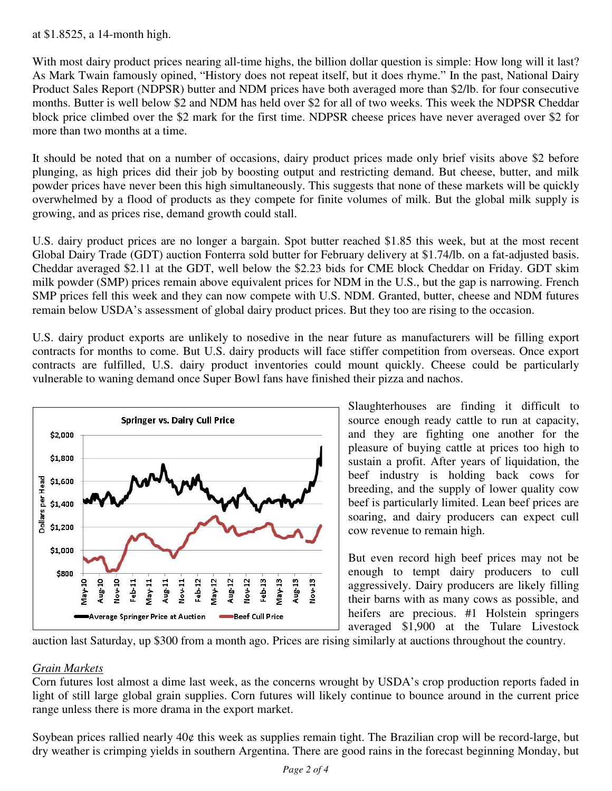## at \$1.8525, a 14-month high.

With most dairy product prices nearing all-time highs, the billion dollar question is simple: How long will it last? As Mark Twain famously opined, "History does not repeat itself, but it does rhyme." In the past, National Dairy Product Sales Report (NDPSR) butter and NDM prices have both averaged more than \$2/lb. for four consecutive months. Butter is well below \$2 and NDM has held over \$2 for all of two weeks. This week the NDPSR Cheddar block price climbed over the \$2 mark for the first time. NDPSR cheese prices have never averaged over \$2 for more than two months at a time.

It should be noted that on a number of occasions, dairy product prices made only brief visits above \$2 before plunging, as high prices did their job by boosting output and restricting demand. But cheese, butter, and milk powder prices have never been this high simultaneously. This suggests that none of these markets will be quickly overwhelmed by a flood of products as they compete for finite volumes of milk. But the global milk supply is growing, and as prices rise, demand growth could stall.

U.S. dairy product prices are no longer a bargain. Spot butter reached \$1.85 this week, but at the most recent Global Dairy Trade (GDT) auction Fonterra sold butter for February delivery at \$1.74/lb. on a fat-adjusted basis. Cheddar averaged \$2.11 at the GDT, well below the \$2.23 bids for CME block Cheddar on Friday. GDT skim milk powder (SMP) prices remain above equivalent prices for NDM in the U.S., but the gap is narrowing. French SMP prices fell this week and they can now compete with U.S. NDM. Granted, butter, cheese and NDM futures remain below USDA's assessment of global dairy product prices. But they too are rising to the occasion.

U.S. dairy product exports are unlikely to nosedive in the near future as manufacturers will be filling export contracts for months to come. But U.S. dairy products will face stiffer competition from overseas. Once export contracts are fulfilled, U.S. dairy product inventories could mount quickly. Cheese could be particularly vulnerable to waning demand once Super Bowl fans have finished their pizza and nachos.



Slaughterhouses are finding it difficult to source enough ready cattle to run at capacity, and they are fighting one another for the pleasure of buying cattle at prices too high to sustain a profit. After years of liquidation, the beef industry is holding back cows for breeding, and the supply of lower quality cow beef is particularly limited. Lean beef prices are soaring, and dairy producers can expect cull cow revenue to remain high.

But even record high beef prices may not be enough to tempt dairy producers to cull aggressively. Dairy producers are likely filling their barns with as many cows as possible, and heifers are precious. #1 Holstein springers averaged \$1,900 at the Tulare Livestock

auction last Saturday, up \$300 from a month ago. Prices are rising similarly at auctions throughout the country.

## *Grain Markets*

Corn futures lost almost a dime last week, as the concerns wrought by USDA's crop production reports faded in light of still large global grain supplies. Corn futures will likely continue to bounce around in the current price range unless there is more drama in the export market.

Soybean prices rallied nearly 40¢ this week as supplies remain tight. The Brazilian crop will be record-large, but dry weather is crimping yields in southern Argentina. There are good rains in the forecast beginning Monday, but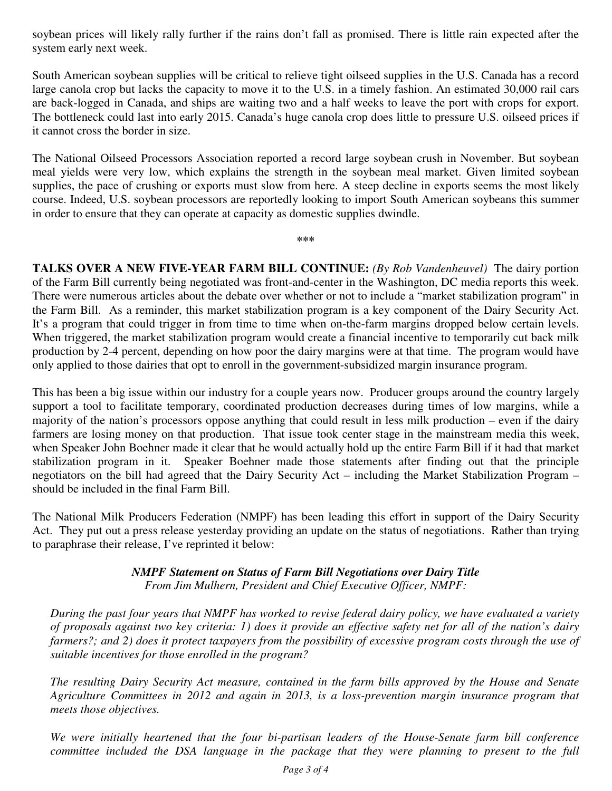soybean prices will likely rally further if the rains don't fall as promised. There is little rain expected after the system early next week.

South American soybean supplies will be critical to relieve tight oilseed supplies in the U.S. Canada has a record large canola crop but lacks the capacity to move it to the U.S. in a timely fashion. An estimated 30,000 rail cars are back-logged in Canada, and ships are waiting two and a half weeks to leave the port with crops for export. The bottleneck could last into early 2015. Canada's huge canola crop does little to pressure U.S. oilseed prices if it cannot cross the border in size.

The National Oilseed Processors Association reported a record large soybean crush in November. But soybean meal yields were very low, which explains the strength in the soybean meal market. Given limited soybean supplies, the pace of crushing or exports must slow from here. A steep decline in exports seems the most likely course. Indeed, U.S. soybean processors are reportedly looking to import South American soybeans this summer in order to ensure that they can operate at capacity as domestic supplies dwindle.

**\*\*\*** 

**TALKS OVER A NEW FIVE-YEAR FARM BILL CONTINUE:** *(By Rob Vandenheuvel)* The dairy portion of the Farm Bill currently being negotiated was front-and-center in the Washington, DC media reports this week. There were numerous articles about the debate over whether or not to include a "market stabilization program" in the Farm Bill. As a reminder, this market stabilization program is a key component of the Dairy Security Act. It's a program that could trigger in from time to time when on-the-farm margins dropped below certain levels. When triggered, the market stabilization program would create a financial incentive to temporarily cut back milk production by 2-4 percent, depending on how poor the dairy margins were at that time. The program would have only applied to those dairies that opt to enroll in the government-subsidized margin insurance program.

This has been a big issue within our industry for a couple years now. Producer groups around the country largely support a tool to facilitate temporary, coordinated production decreases during times of low margins, while a majority of the nation's processors oppose anything that could result in less milk production – even if the dairy farmers are losing money on that production. That issue took center stage in the mainstream media this week, when Speaker John Boehner made it clear that he would actually hold up the entire Farm Bill if it had that market stabilization program in it. Speaker Boehner made those statements after finding out that the principle negotiators on the bill had agreed that the Dairy Security Act – including the Market Stabilization Program – should be included in the final Farm Bill.

The National Milk Producers Federation (NMPF) has been leading this effort in support of the Dairy Security Act. They put out a press release yesterday providing an update on the status of negotiations. Rather than trying to paraphrase their release, I've reprinted it below:

> *NMPF Statement on Status of Farm Bill Negotiations over Dairy Title From Jim Mulhern, President and Chief Executive Officer, NMPF:*

*During the past four years that NMPF has worked to revise federal dairy policy, we have evaluated a variety of proposals against two key criteria: 1) does it provide an effective safety net for all of the nation's dairy farmers?; and 2) does it protect taxpayers from the possibility of excessive program costs through the use of suitable incentives for those enrolled in the program?* 

*The resulting Dairy Security Act measure, contained in the farm bills approved by the House and Senate Agriculture Committees in 2012 and again in 2013, is a loss-prevention margin insurance program that meets those objectives.* 

*We were initially heartened that the four bi-partisan leaders of the House-Senate farm bill conference committee included the DSA language in the package that they were planning to present to the full*